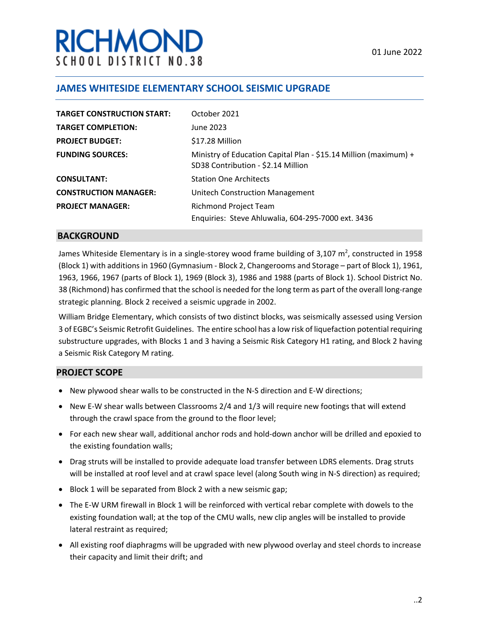# **RICHMON** SCHOOL DISTRICT NO.38

## **JAMES WHITESIDE ELEMENTARY SCHOOL SEISMIC UPGRADE**

| <b>TARGET CONSTRUCTION START:</b> | October 2021                                                                                           |
|-----------------------------------|--------------------------------------------------------------------------------------------------------|
| <b>TARGET COMPLETION:</b>         | June 2023                                                                                              |
| <b>PROJECT BUDGET:</b>            | \$17.28 Million                                                                                        |
| <b>FUNDING SOURCES:</b>           | Ministry of Education Capital Plan - \$15.14 Million (maximum) +<br>SD38 Contribution - \$2.14 Million |
| <b>CONSULTANT:</b>                | <b>Station One Architects</b>                                                                          |
| <b>CONSTRUCTION MANAGER:</b>      | <b>Unitech Construction Management</b>                                                                 |
| <b>PROJECT MANAGER:</b>           | <b>Richmond Project Team</b>                                                                           |
|                                   | Enquiries: Steve Ahluwalia, 604-295-7000 ext. 3436                                                     |

#### **BACKGROUND**

James Whiteside Elementary is in a single-storey wood frame building of 3,107 m<sup>2</sup>, constructed in 1958 (Block 1) with additions in 1960 (Gymnasium - Block 2, Changerooms and Storage – part of Block 1), 1961, 1963, 1966, 1967 (parts of Block 1), 1969 (Block 3), 1986 and 1988 (parts of Block 1). School District No. 38 (Richmond) has confirmed that the school is needed for the long term as part of the overall long-range strategic planning. Block 2 received a seismic upgrade in 2002.

William Bridge Elementary, which consists of two distinct blocks, was seismically assessed using Version 3 of EGBC's Seismic Retrofit Guidelines. The entire school has a low risk of liquefaction potential requiring substructure upgrades, with Blocks 1 and 3 having a Seismic Risk Category H1 rating, and Block 2 having a Seismic Risk Category M rating.

#### **PROJECT SCOPE**

- New plywood shear walls to be constructed in the N-S direction and E-W directions;
- New E-W shear walls between Classrooms 2/4 and 1/3 will require new footings that will extend through the crawl space from the ground to the floor level;
- For each new shear wall, additional anchor rods and hold-down anchor will be drilled and epoxied to the existing foundation walls;
- Drag struts will be installed to provide adequate load transfer between LDRS elements. Drag struts will be installed at roof level and at crawl space level (along South wing in N-S direction) as required;
- Block 1 will be separated from Block 2 with a new seismic gap;
- The E-W URM firewall in Block 1 will be reinforced with vertical rebar complete with dowels to the existing foundation wall; at the top of the CMU walls, new clip angles will be installed to provide lateral restraint as required;
- All existing roof diaphragms will be upgraded with new plywood overlay and steel chords to increase their capacity and limit their drift; and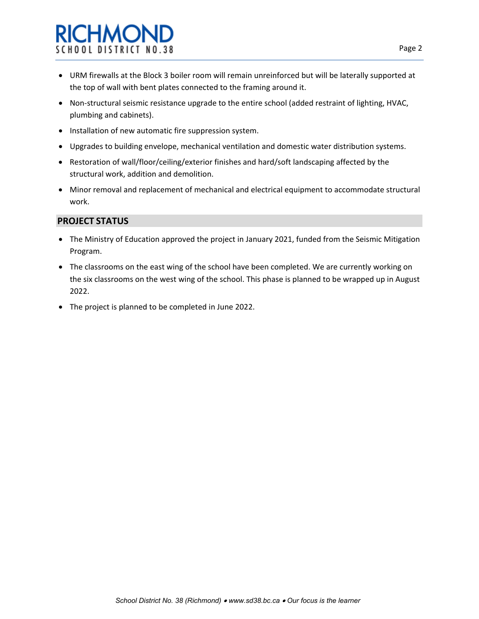# **RICHMON** SCHOOL DISTRICT NO.38

- URM firewalls at the Block 3 boiler room will remain unreinforced but will be laterally supported at the top of wall with bent plates connected to the framing around it.
- Non-structural seismic resistance upgrade to the entire school (added restraint of lighting, HVAC, plumbing and cabinets).
- Installation of new automatic fire suppression system.
- Upgrades to building envelope, mechanical ventilation and domestic water distribution systems.
- Restoration of wall/floor/ceiling/exterior finishes and hard/soft landscaping affected by the structural work, addition and demolition.
- Minor removal and replacement of mechanical and electrical equipment to accommodate structural work.

### **PROJECT STATUS**

- The Ministry of Education approved the project in January 2021, funded from the Seismic Mitigation Program.
- The classrooms on the east wing of the school have been completed. We are currently working on the six classrooms on the west wing of the school. This phase is planned to be wrapped up in August 2022.
- The project is planned to be completed in June 2022.